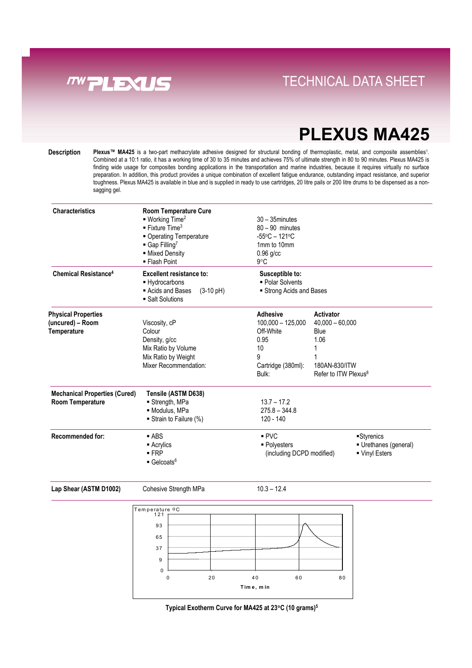

### **Direct Links Convenience With Tray System** TECHNICAL DATA SHEET

# **PLEXUS MA425**

**Description Plexus™ MA425** is a two-part methacrylate adhesive designed for structural bonding of thermoplastic, metal, and composite assemblies1. Combined at a 10:1 ratio, it has a working time of 30 to 35 minutes and achieves 75% of ultimate strength in 80 to 90 minutes. Plexus MA425 is finding wide usage for composites bonding applications in the transportation and marine industries, because it requires virtually no surface preparation. In addition, this product provides a unique combination of excellent fatigue endurance, outstanding impact resistance, and superior toughness. Plexus MA425 is available in blue and is supplied in ready to use cartridges, 20 litre pails or 200 litre drums to be dispensed as a nonsagging gel.

| <b>Characteristics</b>                                          | <b>Room Temperature Cure</b><br>■ Working Time <sup>2</sup><br>$\blacksquare$ Fixture Time <sup>3</sup><br>• Operating Temperature<br>Gap Filling <sup>7</sup><br>- Mixed Density<br>• Flash Point | $30 - 35$ minutes<br>$80 - 90$ minutes<br>$-55^{\circ}$ C - 121 $^{\circ}$ C<br>1mm to 10mm<br>$0.96$ g/cc<br>$9^{\circ}$ C |                                                                                                          |                                                    |
|-----------------------------------------------------------------|----------------------------------------------------------------------------------------------------------------------------------------------------------------------------------------------------|-----------------------------------------------------------------------------------------------------------------------------|----------------------------------------------------------------------------------------------------------|----------------------------------------------------|
| <b>Chemical Resistance<sup>4</sup></b>                          | Excellent resistance to:<br>- Hydrocarbons<br>Acids and Bases<br>$(3-10 \text{ pH})$<br>■ Salt Solutions                                                                                           | Susceptible to:<br>• Polar Solvents<br>Strong Acids and Bases                                                               |                                                                                                          |                                                    |
| <b>Physical Properties</b><br>(uncured) - Room<br>Temperature   | Viscosity, cP<br>Colour<br>Density, g/cc<br>Mix Ratio by Volume<br>Mix Ratio by Weight<br>Mixer Recommendation:                                                                                    | <b>Adhesive</b><br>$100,000 - 125,000$<br>Off-White<br>0.95<br>10<br>9<br>Cartridge (380ml):<br>Bulk:                       | Activator<br>$40,000 - 60,000$<br>Blue<br>1.06<br>1<br>180AN-830/ITW<br>Refer to ITW Plexus <sup>8</sup> |                                                    |
| <b>Mechanical Properties (Cured)</b><br><b>Room Temperature</b> | Tensile (ASTM D638)<br>$\blacksquare$ Strength, MPa<br>· Modulus, MPa<br>Strain to Failure (%)                                                                                                     | $13.7 - 17.2$<br>$275.8 - 344.8$<br>120 - 140                                                                               |                                                                                                          |                                                    |
| <b>Recommended for:</b>                                         | $-$ ABS<br>$\blacksquare$ Acrylics<br>$-FRP$<br>$\blacksquare$ Gelcoats <sup>6</sup>                                                                                                               | PVC<br>• Polyesters<br>(including DCPD modified)                                                                            |                                                                                                          | Styrenics<br>Urethanes (general)<br>■ Vinyl Esters |

Lap Shear (ASTM D1002) Cohesive Strength MPa 10.3 - 12.4



**Typical Exotherm Curve for MA425 at 23**°**C (10 grams)5**